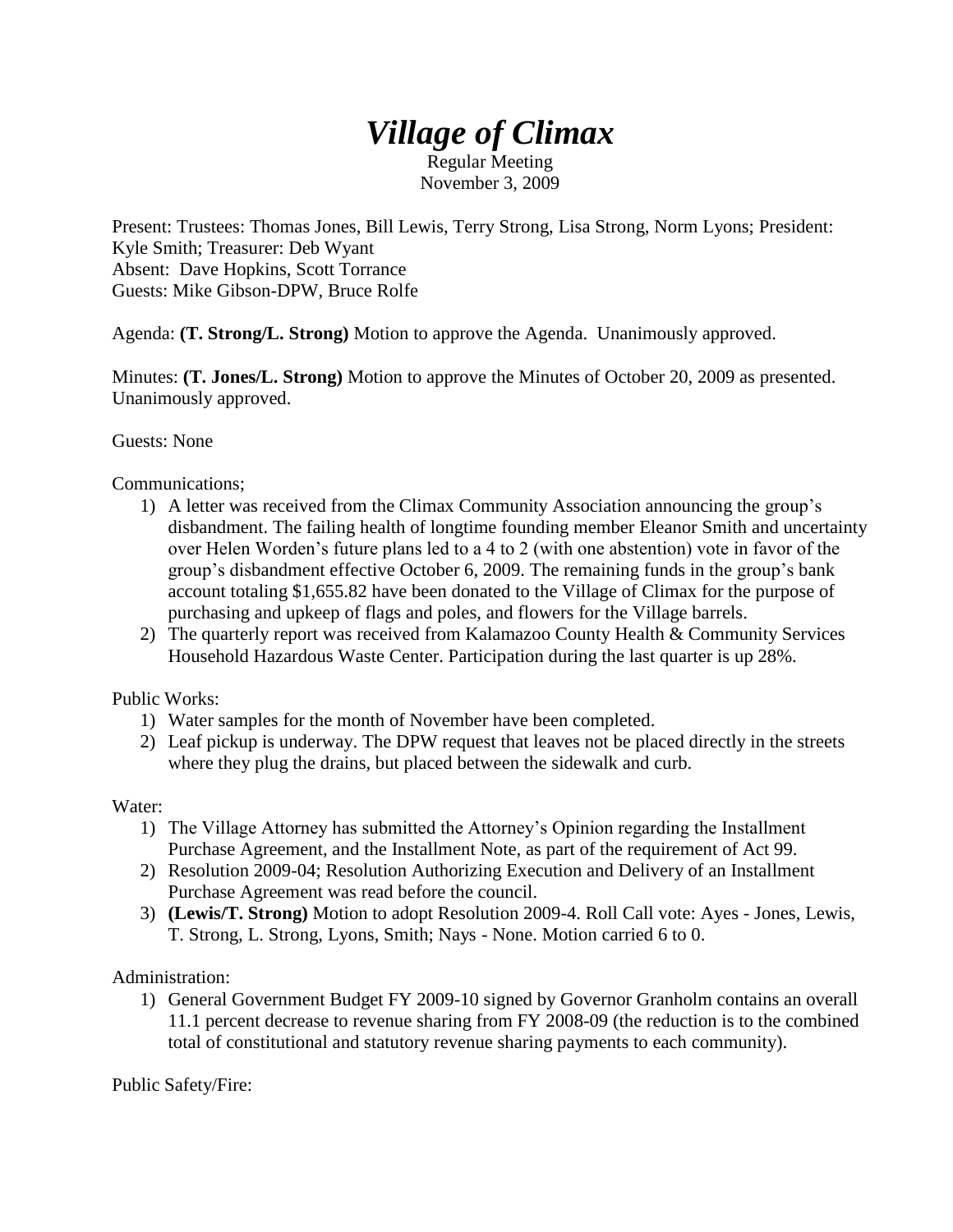## *Village of Climax*

Regular Meeting November 3, 2009

Present: Trustees: Thomas Jones, Bill Lewis, Terry Strong, Lisa Strong, Norm Lyons; President: Kyle Smith; Treasurer: Deb Wyant Absent: Dave Hopkins, Scott Torrance Guests: Mike Gibson-DPW, Bruce Rolfe

Agenda: **(T. Strong/L. Strong)** Motion to approve the Agenda. Unanimously approved.

Minutes: **(T. Jones/L. Strong)** Motion to approve the Minutes of October 20, 2009 as presented. Unanimously approved.

Guests: None

Communications;

- 1) A letter was received from the Climax Community Association announcing the group's disbandment. The failing health of longtime founding member Eleanor Smith and uncertainty over Helen Worden's future plans led to a 4 to 2 (with one abstention) vote in favor of the group's disbandment effective October 6, 2009. The remaining funds in the group's bank account totaling \$1,655.82 have been donated to the Village of Climax for the purpose of purchasing and upkeep of flags and poles, and flowers for the Village barrels.
- 2) The quarterly report was received from Kalamazoo County Health & Community Services Household Hazardous Waste Center. Participation during the last quarter is up 28%.

Public Works:

- 1) Water samples for the month of November have been completed.
- 2) Leaf pickup is underway. The DPW request that leaves not be placed directly in the streets where they plug the drains, but placed between the sidewalk and curb.

Water:

- 1) The Village Attorney has submitted the Attorney's Opinion regarding the Installment Purchase Agreement, and the Installment Note, as part of the requirement of Act 99.
- 2) Resolution 2009-04; Resolution Authorizing Execution and Delivery of an Installment Purchase Agreement was read before the council.
- 3) **(Lewis/T. Strong)** Motion to adopt Resolution 2009-4. Roll Call vote: Ayes Jones, Lewis, T. Strong, L. Strong, Lyons, Smith; Nays - None. Motion carried 6 to 0.

Administration:

1) General Government Budget FY 2009-10 signed by Governor Granholm contains an overall 11.1 percent decrease to revenue sharing from FY 2008-09 (the reduction is to the combined total of constitutional and statutory revenue sharing payments to each community).

Public Safety/Fire: